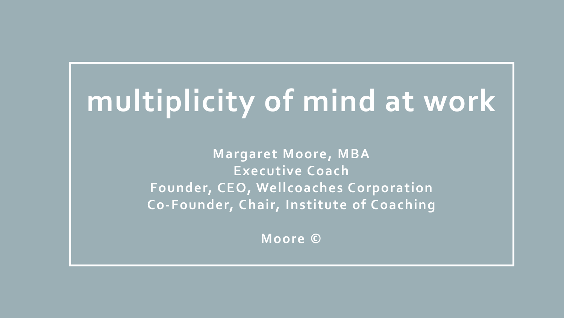# **multiplicity of mind at work**

**Margaret Moore, MBA Executive Coach Founder, CEO, Wellcoaches Corporation Co-Founder, Chair, Institute of Coaching**

**Moore ©**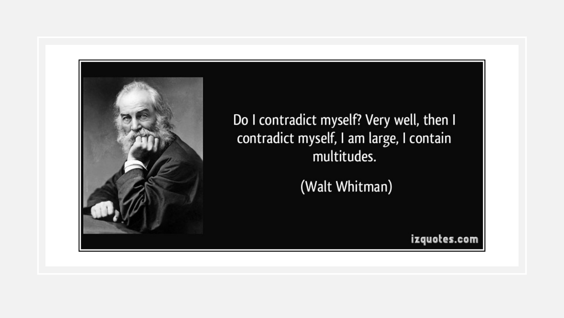

Do I contradict myself? Very well, then I contradict myself, I am large, I contain multitudes.

(Walt Whitman)

izquotes.com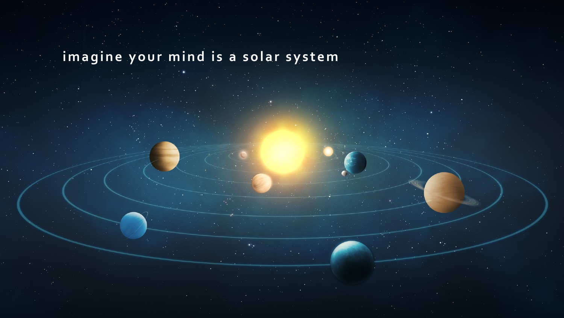#### **imagine your mind is a solar system**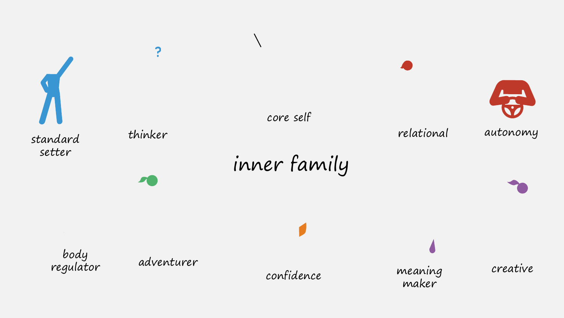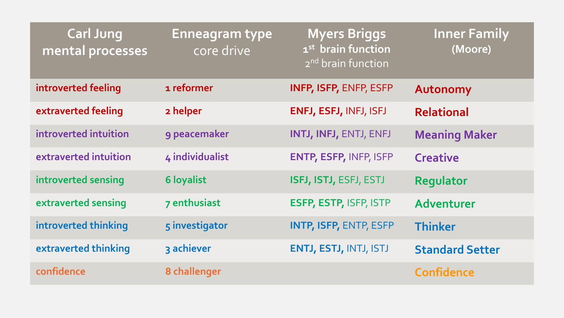| <b>Carl Jung</b><br>mental processes | <b>Enneagram type</b><br>core drive | <b>Myers Briggs</b><br>1 <sup>st</sup> brain function<br>2 <sup>nd</sup> brain function | <b>Inner Family</b><br>(Moore) |
|--------------------------------------|-------------------------------------|-----------------------------------------------------------------------------------------|--------------------------------|
| introverted feeling                  | 1 reformer                          | <b>INFP, ISFP, ENFP, ESFP</b>                                                           | Autonomy                       |
| extraverted feeling                  | 2 helper                            | ENFJ, ESFJ, INFJ, ISFJ                                                                  | <b>Relational</b>              |
| introverted intuition                | 9 peacemaker                        | INTJ, INFJ, ENTJ, ENFJ                                                                  | <b>Meaning Maker</b>           |
| extraverted intuition                | 4 individualist                     | <b>ENTP, ESFP, INFP, ISFP</b>                                                           | <b>Creative</b>                |
| introverted sensing                  | <b>6 loyalist</b>                   | ISFJ, ISTJ, ESFJ, ESTJ                                                                  | Regulator                      |
| extraverted sensing                  | 7 enthusiast                        | ESFP, ESTP, ISFP, ISTP                                                                  | Adventurer                     |
| introverted thinking                 | 5 investigator                      | <b>INTP, ISFP, ENTP, ESFP</b>                                                           | <b>Thinker</b>                 |
| extraverted thinking                 | 3 achiever                          | <b>ENTJ, ESTJ, INTJ, ISTJ</b>                                                           | <b>Standard Setter</b>         |
| confidence                           | 8 challenger                        |                                                                                         | <b>Confidence</b>              |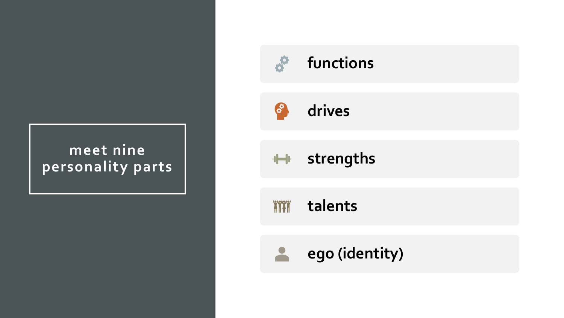#### **meet nine personality parts**

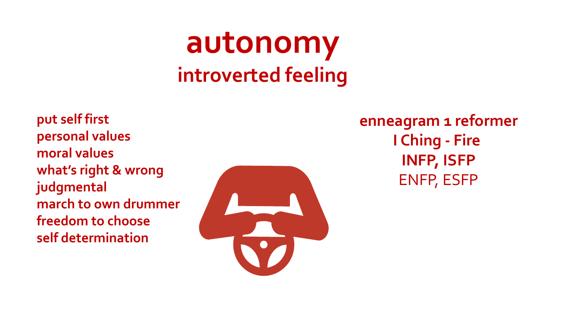#### **autonomy introverted feeling**

**put self first personal values moral values what's right & wrong judgmental march to own drummer freedom to choose self determination**



**enneagram 1 reformer I Ching - Fire INFP, ISFP** ENFP, ESFP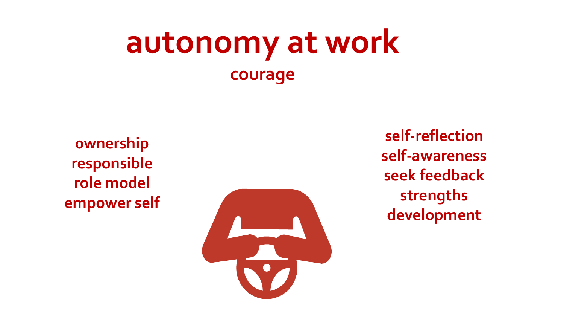#### **autonomy at work courage**

**0wnership responsible role model empower self**



**self-reflection self-awareness seek feedback strengths development**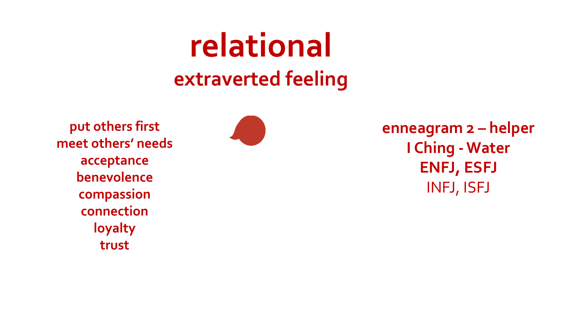## **relational extraverted feeling**

**put others first meet others' needs acceptance benevolence compassion connection loyalty trust**



**enneagram 2 – helper I Ching -Water ENFJ, ESFJ** INFJ, ISFJ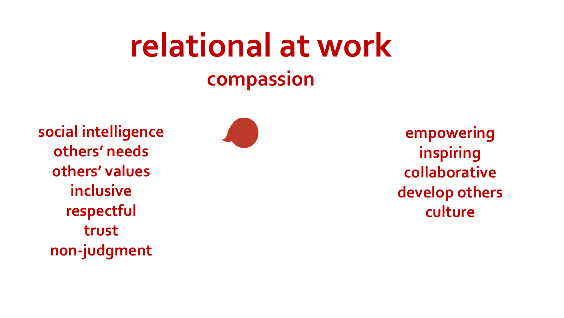## **relational at work compassion**

**social intelligence others' needs others' values inclusive respectful trust non-judgment**



**empowering inspiring collaborative develop others culture**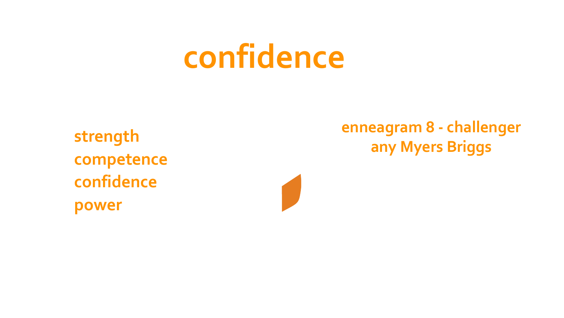# **confidence**

**competence confidence power**

**enneagram 8 - challenger any Myers Briggs strength**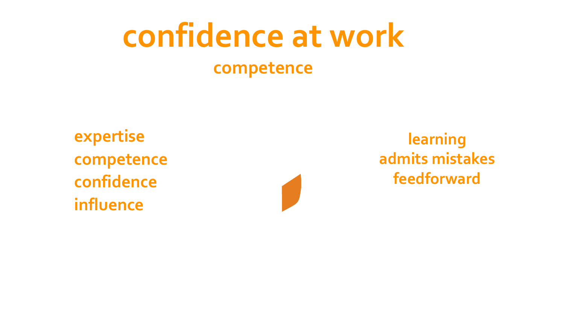# **confidence at work**

#### **competence**

**expertise competence confidence influence**



**learning admits mistakes feedforward**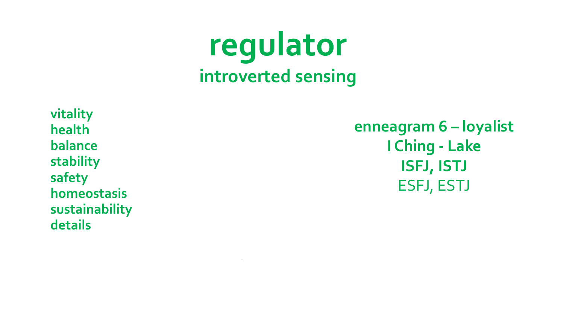**regulator introverted sensing**

**vitality health balance stability safety homeostasis sustainability details**

**enneagram 6 – loyalist I Ching - Lake ISFJ, ISTJ** ESFJ, ESTJ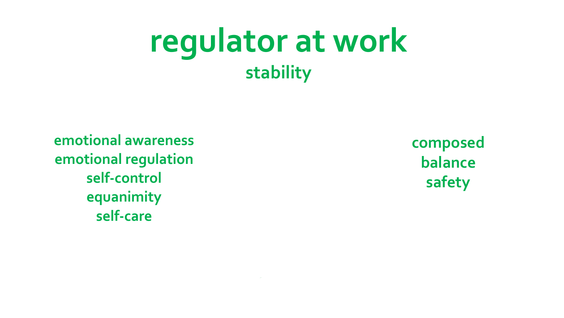#### **regulator at work stability**

**emotional awareness emotional regulation self-control equanimity self-care**

**composed balance safety**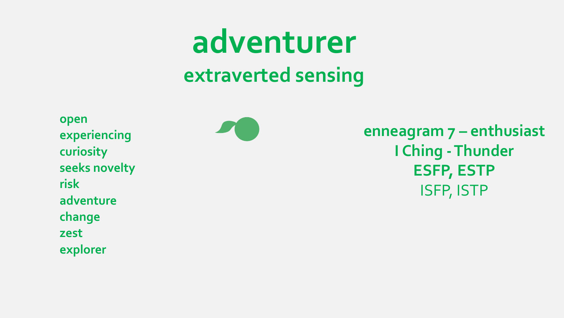### **adventurer extraverted sensing**

**open experiencing curiosity seeks novelty risk adventure change zest explorer**



**enneagram 7 – enthusiast I Ching -Thunder ESFP, ESTP** ISFP, ISTP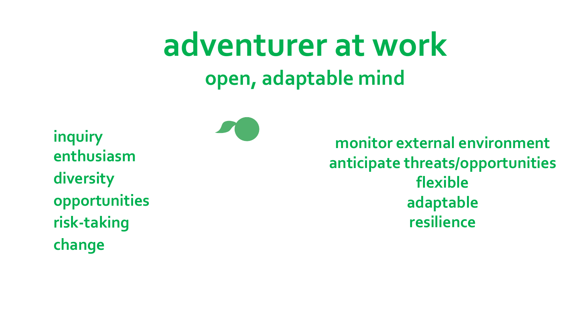## **adventurer at work open, adaptable mind**

**inquiry enthusiasm diversity opportunities risk-taking change**

**monitor external environment anticipate threats/opportunities flexible adaptable resilience**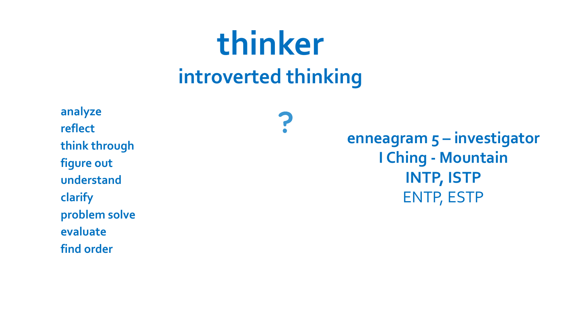#### **thinker introverted thinking**

7

**analyze reflect think through figure out understand clarify problem solve evaluate find order**

**enneagram 5 – investigator I Ching - Mountain INTP, ISTP** ENTP, ESTP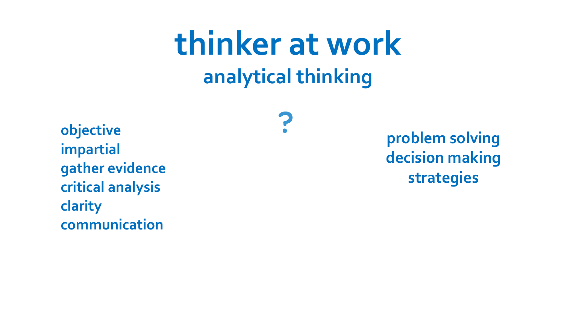## **thinker at work analytical thinking**

**objective impartial gather evidence critical analysis clarity communication**

**problem solving decision making strategies**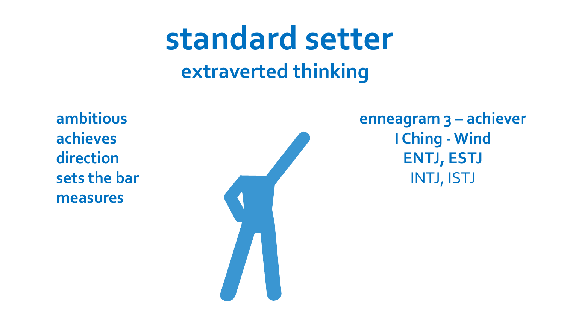#### **standard setter extraverted thinking**

**ambitious achieves direction sets the bar measures**



**enneagram 3 – achiever I Ching - Wind ENTJ, ESTJ** INTJ, ISTJ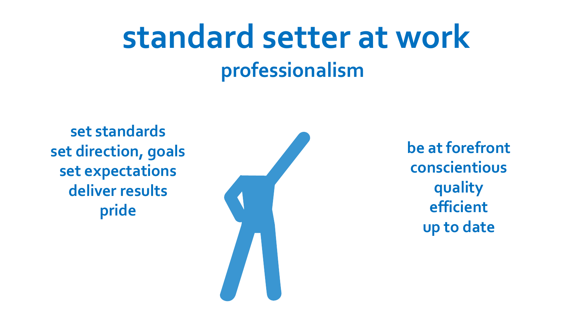## **standard setter at work professionalism**

**set standards set direction, goals set expectations deliver results pride**



**be at forefront conscientious quality efficient up to date**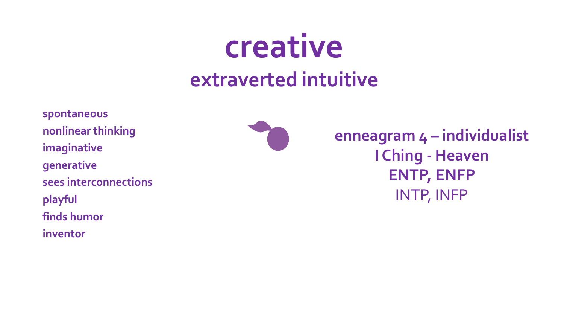#### **creative extraverted intuitive**

**spontaneous nonlinear thinking imaginative generative sees interconnections playful finds humor inventor**

**enneagram 4 – individualist I Ching - Heaven ENTP, ENFP** INTP, INFP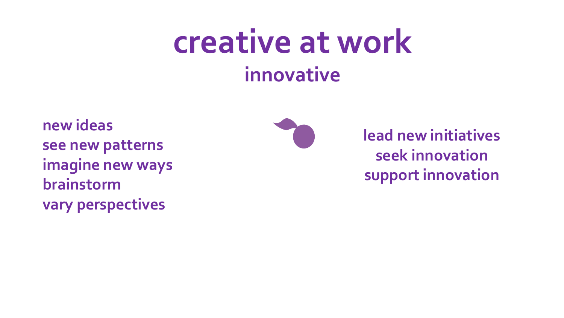## **creative at work innovative**

**new ideas see new patterns imagine new ways brainstorm vary perspectives**



**lead new initiatives seek innovation support innovation**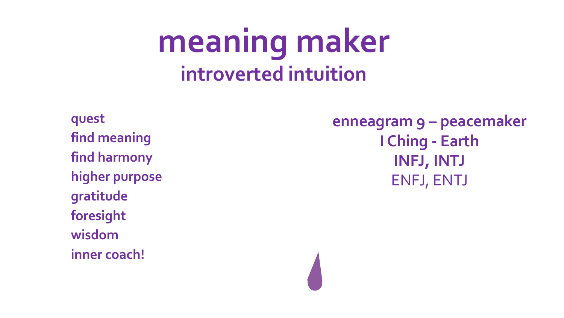### **meaning maker introverted intuition**

**quest find meaning find harmony higher purpose gratitude foresight wisdom inner coach!**

**enneagram 9 – peacemaker I Ching - Earth INFJ, INTJ** ENFJ, ENTJ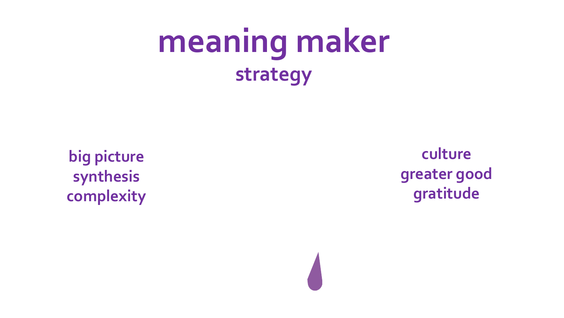## **meaning maker strategy**

**big picture synthesis complexity**

**culture greater good gratitude**